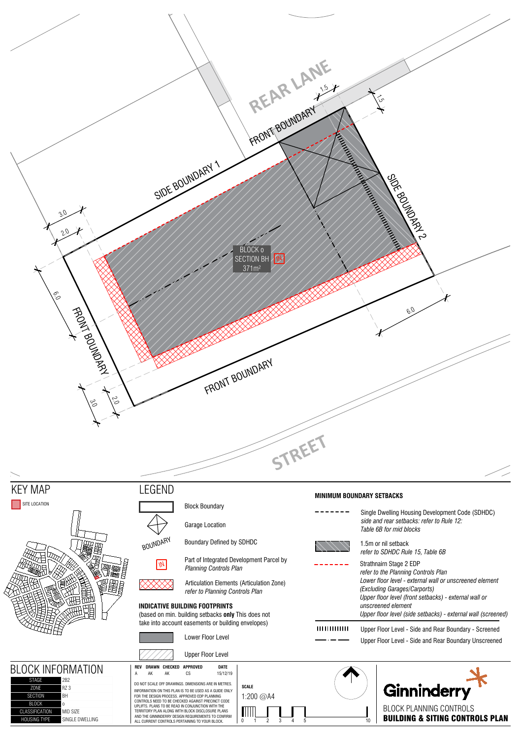